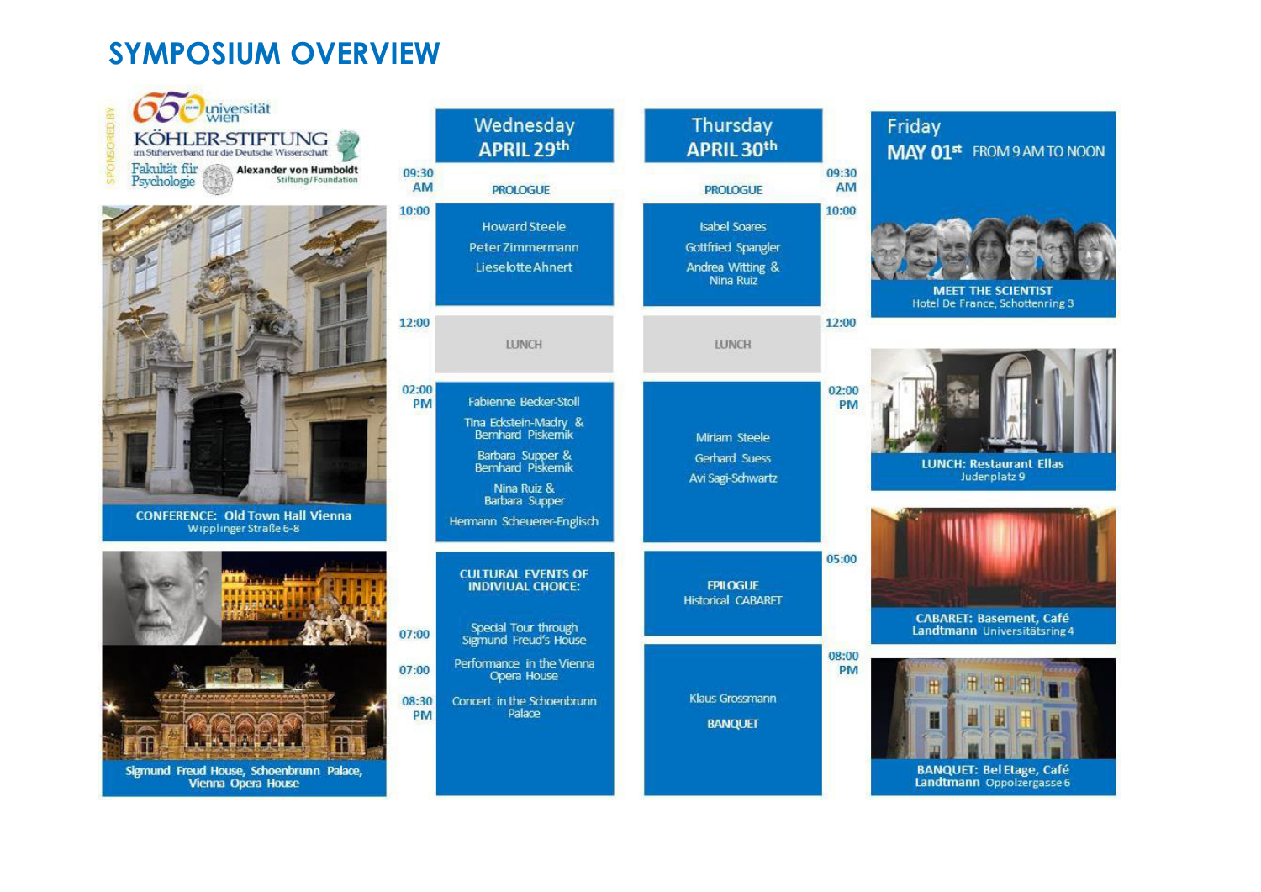# **SYMPOSIUM OVERVIEW**

universität Thursday Wednesday Friday KÖHLER-STIFTUNG **APRIL 29th APRIL 30th** MAY 01st FROM 9 AM TO NOON im Stifterwerband für die Deutsche Wissenschaft Fakultät für<br>Psychologie **Alexander von Humboldt** 09:30 09:30 Stiftung/Foundation AM **PROLOGUE** AM **PROLOGUE** 10:00 10:00 **Howard Steele Isabel Soares** Peter 7immermann Gottfried Spangler Andrea Witting & **Lieselotte Ahnert** Nina Ruiz **MEET THE SCIENTIST** Hotel De France, Schottenring 3 12:00 12:00 **TUNCH IUNCH**  $02:00$ 02:00 Fabienne Becker-Stoll **PM PM** Tina Edostein-Madry &<br>Bernhard Piskemik Miriam Steele Barbara Supper & Gerhard Suess **LUNCH: Restaurant Ellas** Bemhard Piskemik Judenplatz 9 Avi Sagi-Schwartz Nina Ruiz & Barbara Supper **CONFERENCE: Old Town Hall Vienna** Hermann Scheuerer-Englisch Wipplinger Straße 6-8 05:00 **CULTURAL EVENTS OF INDIVIUAL CHOICE: EPILOGUE Historical CABARET CABARET: Basement, Café** Special Tour through Landtmann Universitätsring 4 07:00 Sigmund Freud's House 08:00 Performance in the Vienna 07:00 PM Opera House Klaus Grossmann 08:30 Concert in the Schoenbrunn Palace PM **BANQUET** Sigmund Freud House, Schoenbrunn Palace, **BANQUET: Bel Etage, Café** Landtmann Oppolzergasse 6 Vienna Opera House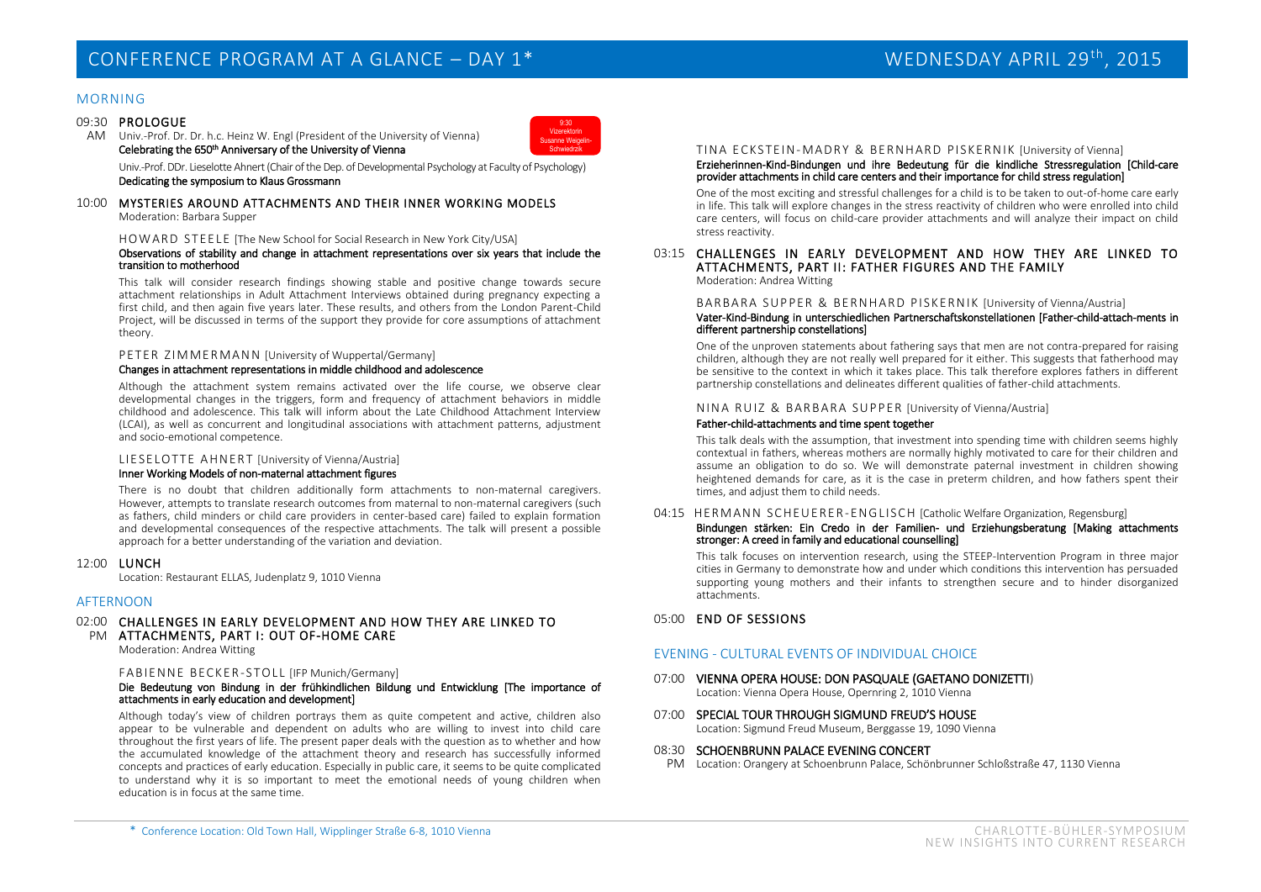#### MORNING

#### 09:30 PROLOGUE

AM Univ.-Prof. Dr. Dr. h.c. Heinz W. Engl (President of the University of Vienna) Celebrating the 650<sup>th</sup> Anniversary of the University of Vienna



Univ.-Prof. DDr. Lieselotte Ahnert (Chair of the Dep. of Developmental Psychology at Faculty of Psychology) Dedicating the symposium to Klaus Grossmann

#### 10:00 MYSTERIES AROUND ATTACHMENTS AND THEIR INNER WORKING MODELS Moderation: Barbara Supper

HO WARD STEE LE [The New School for Social Research in New York City/USA]

#### Observations of stability and change in attachment representations over six years that include the transition to motherhood

This talk will consider research findings showing stable and positive change towards secure attachment relationships in Adult Attachment Interviews obtained during pregnancy expecting a first child, and then again five years later. These results, and others from the London Parent-Child Project, will be discussed in terms of the support they provide for core assumptions of attachment theory.

#### PETER ZIMMERMANN [University of Wuppertal/Germany]

#### Changes in attachment representations in middle childhood and adolescence

Although the attachment system remains activated over the life course, we observe clear developmental changes in the triggers, form and frequency of attachment behaviors in middle childhood and adolescence. This talk will inform about the Late Childhood Attachment Interview (LCAI), as well as concurrent and longitudinal associations with attachment patterns, adjustment and socio-emotional competence.

#### LIE SELOTTE AHNERT [University of Vienna/Austria]

#### Inner Working Models of non-maternal attachment figures

There is no doubt that children additionally form attachments to non-maternal caregivers. However, attempts to translate research outcomes from maternal to non-maternal caregivers (such as fathers, child minders or child care providers in center-based care) failed to explain formation and developmental consequences of the respective attachments. The talk will present a possible approach for a better understanding of the variation and deviation.

#### 12:00 LUNCH

Location: Restaurant ELLAS, Judenplatz 9, 1010 Vienna

#### **AFTERNOON**

#### 02:00 CHALLENGES IN EARLY DEVELOPMENT AND HOW THEY ARE LINKED TO PM ATTACHMENTS, PART I: OUT OF-HOME CARE

Moderation: Andrea Witting

#### FABIENNE BECKER-STOLL [IFP Munich/Germany]

#### Die Bedeutung von Bindung in der frühkindlichen Bildung und Entwicklung [The importance of attachments in early education and development]

Although today's view of children portravs them as quite competent and active, children also appear to be vulnerable and dependent on adults who are willing to invest into child care throughout the first years of life. The present paper deals with the question as to whether and how the accumulated knowledge of the attachment theory and research has successfully informed concepts and practices of early education. Especially in public care, it seems to be quite complicated to understand why it is so important to meet the emotional needs of young children when education is in focus at the same time.

#### TINA ECKSTEIN-MADRY & BERNHARD PISKERNIK [University of Vienna] Erzieherinnen-Kind-Bindungen und ihre Bedeutung für die kindliche Stressregulation [Child-care provider attachments in child care centers and their importance for child stress regulation]

One of the most exciting and stressful challenges for a child is to be taken to out-of-home care early in life. This talk will explore changes in the stress reactivity of children who were enrolled into child care centers, will focus on child-care provider attachments and will analyze their impact on child stress reactivity.

### 03:15 CHALLENGES IN EARLY DEVELOPMENT AND HOW THEY ARE LINKED TO ATTACHMENTS, PART II: FATHER FIGURES AND THE FAMILY

Moderation: Andrea Witting

BARBARA SUPPER & BERNHARD PISKERNIK [University of Vienna/Austrial]

#### Vater-Kind-Bindung in unterschiedlichen Partnerschaftskonstellationen [Father-child-attach-ments in different partnership constellations]

One of the unproven statements about fathering says that men are not contra-prepared for raising children, although they are not really well prepared for it either. This suggests that fatherhood may be sensitive to the context in which it takes place. This talk therefore explores fathers in different partnership constellations and delineates different qualities of father-child attachments.

#### NINA RUIZ & BARBARA SUPPER [University of Vienna/Austria]

#### Father-child-attachments and time spent together

This talk deals with the assumption, that investment into spending time with children seems highly contextual in fathers, whereas mothers are normally highly motivated to care for their children and assume an obligation to do so. We will demonstrate paternal investment in children showing heightened demands for care, as it is the case in preterm children, and how fathers spent their times, and adjust them to child needs.

#### 04:15 HERM ANN SC HEUERE R -ENG LISC H [Catholic Welfare Organization, Regensburg]

#### Bindungen stärken: Ein Credo in der Familien- und Erziehungsberatung [Making attachments stronger: A creed in family and educational counselling]

This talk focuses on intervention research, using the STEEP-Intervention Program in three major cities in Germany to demonstrate how and under which conditions this intervention has persuaded supporting young mothers and their infants to strengthen secure and to hinder disorganized attachments.

#### 05:00 END OF SESSIONS

#### EVENING - CULTURAL EVENTS OF INDIVIDUAL CHOICE

- 07:00 VIENNA OPERA HOUSE: DON PASQUALE (GAETANO DONIZETTI) Location: Vienna Opera House, Opernring 2, 1010 Vienna
- 07:00 SPECIAL TOUR THROUGH SIGMUND FREUD'S HOUSE Location: Sigmund Freud Museum, Berggasse 19, 1090 Vienna

#### 08:30 SCHOENBRUNN PALACE EVENING CONCERT

PM Location: Orangery at Schoenbrunn Palace, Schönbrunner Schloßstraße 47, 1130 Vienna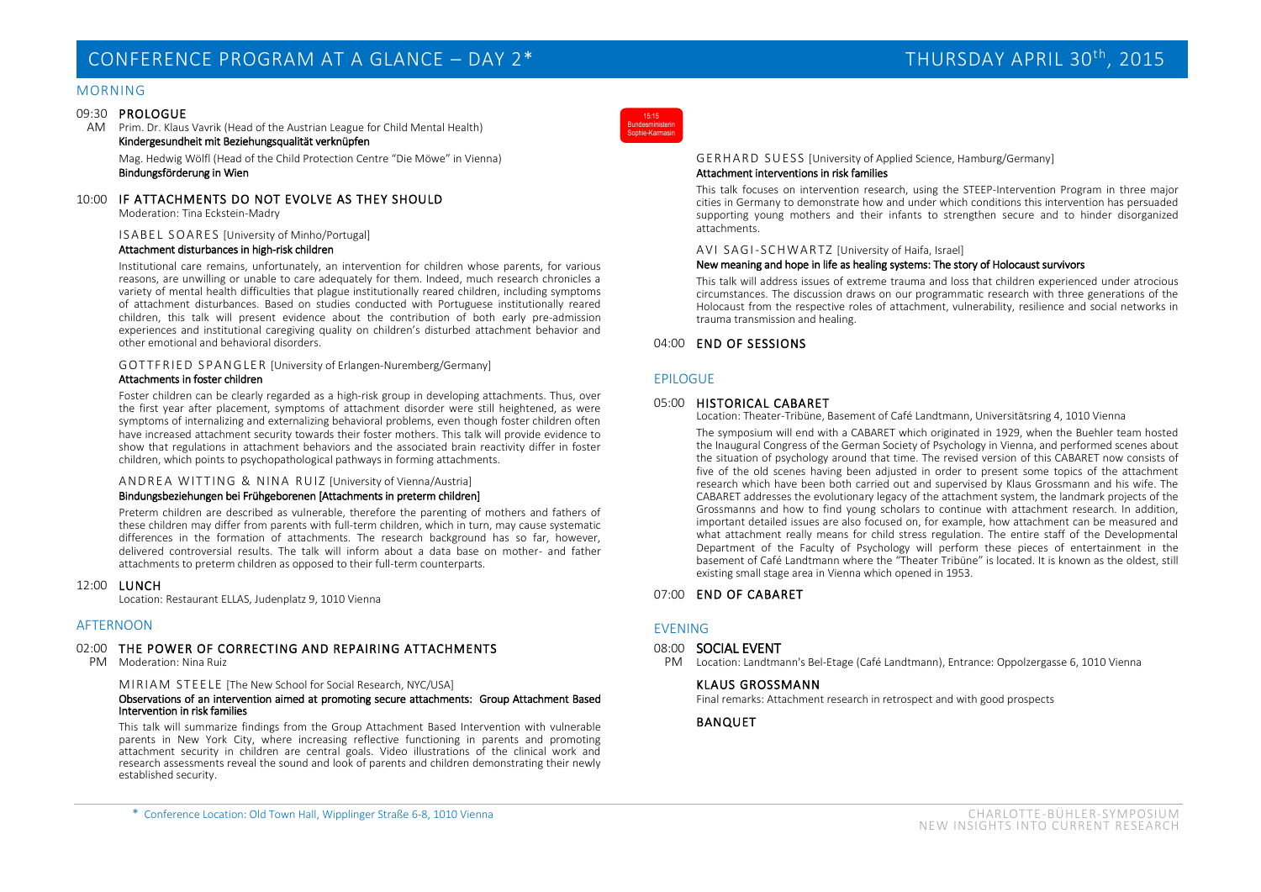## CONFERENCE PROGRAM AT A GLANCE – DAY 2\* THURSDAY APRIL 30<sup>th</sup>, 2015

#### MORNING

#### 09:30 PROLOGUE

AM Prim. Dr. Klaus Vavrik (Head of the Austrian League for Child Mental Health) Kindergesundheit mit Beziehungsqualität verknüpfen

Mag. Hedwig Wölfl (Head of the Child Protection Centre "Die Möwe" in Vienna) Bindungsförderung in Wien

#### 10:00 IF ATTACHMENTS DO NOT EVOLVE AS THEY SHOULD

Moderation: Tina Eckstein-Madry

 IS ABE L S OA RES [University of Minho/Portugal] Attachment disturbances in high-risk children

Institutional care remains, unfortunately, an intervention for children whose parents, for various reasons, are unwilling or unable to care adequately for them. Indeed, much research chronicles a variety of mental health difficulties that plague institutionally reared children, including symptoms of attachment disturbances. Based on studies conducted with Portuguese institutionally reared children, this talk will present evidence about the contribution of both early pre-admission experiences and institutional caregiving quality on children's disturbed attachment behavior and other emotional and behavioral disorders.

#### GOT TFR IED S PAN G LER [University of Erlangen-Nuremberg/Germany] Attachments in foster children

Foster children can be clearly regarded as a high-risk group in developing attachments. Thus, over the first year after placement, symptoms of attachment disorder were still heightened, as were symptoms of internalizing and externalizing behavioral problems, even though foster children often have increased attachment security towards their foster mothers. This talk will provide evidence to show that regulations in attachment behaviors and the associated brain reactivity differ in foster children, which points to psychopathological pathways in forming attachments.

#### ANDREA WITTING & NINA RUIZ [University of Vienna/Austria] Bindungsbeziehungen bei Frühgeborenen [Attachments in preterm children]

Preterm children are described as vulnerable, therefore the parenting of mothers and fathers of these children may differ from parents with full-term children, which in turn, may cause systematic differences in the formation of attachments. The research background has so far, however, delivered controversial results. The talk will inform about a data base on mother- and father attachments to preterm children as opposed to their full-term counterparts.

#### 12:00 LUNCH

Location: Restaurant ELLAS, Judenplatz 9, 1010 Vienna

#### AFTERNOON

#### 02:00 THE POWER OF CORRECTING AND REPAIRING ATTACHMENTS

PM Moderation: Nina Ruiz

MIRIAM STEELE [The New School for Social Research, NYC/USA]

#### Observations of an intervention aimed at promoting secure attachments: Group Attachment Based Intervention in risk families

This talk will summarize findings from the Group Attachment Based Intervention with vulnerable parents in New York City, where increasing reflective functioning in parents and promoting attachment security in children are central goals. Video illustrations of the clinical work and research assessments reveal the sound and look of parents and children demonstrating their newly established security.



#### GERHARD SUESS [University of Applied Science, Hamburg/Germany] Attachment interventions in risk families

This talk focuses on intervention research, using the STEEP-Intervention Program in three major cities in Germany to demonstrate how and under which conditions this intervention has persuaded supporting young mothers and their infants to strengthen secure and to hinder disorganized attachments.

#### AVI SAGI-SCHWARTZ [University of Haifa, Israel]

#### New meaning and hope in life as healing systems: The story of Holocaust survivors

This talk will address issues of extreme trauma and loss that children experienced under atrocious circumstances. The discussion draws on our programmatic research with three generations of the Holocaust from the respective roles of attachment, vulnerability, resilience and social networks in trauma transmission and healing.

#### 04:00 END OF SESSIONS

#### EPILOGUE

#### 05:00 HISTORICAL CABARET

Location: Theater-Tribüne, Basement of Café Landtmann, Universitätsring 4, 1010 Vienna

The symposium will end with a CABARET which originated in 1929, when the Buehler team hosted the Inaugural Congress of the German Society of Psychology in Vienna, and performed scenes about the situation of psychology around that time. The revised version of this CABARET now consists of five of the old scenes having been adjusted in order to present some topics of the attachment research which have been both carried out and supervised by Klaus Grossmann and his wife. The CABARET addresses the evolutionary legacy of the attachment system, the landmark projects of the Grossmanns and how to find young scholars to continue with attachment research. In addition, important detailed issues are also focused on, for example, how attachment can be measured and what attachment really means for child stress regulation. The entire staff of the Developmental Department of the Faculty of Psychology will perform these pieces of entertainment in the basement of Café Landtmann where the "Theater Tribüne" is located. It is known as the oldest, still existing small stage area in Vienna which opened in 1953.

#### 07:00 END OF CABARET

#### EVENING

#### 08:00 SOCIAL EVENT

PM Location: Landtmann's Bel-Etage (Café Landtmann), Entrance: Oppolzergasse 6, 1010 Vienna

#### KLAUS GROSSMANN

Final remarks: Attachment research in retrospect and with good prospects

#### BANQUET

\* Conference Location: Old Town Hall, Wipplinger Straße 6-8, 1010 Vienna CHARLOTTE-BÜHLER-SYMPOSIUM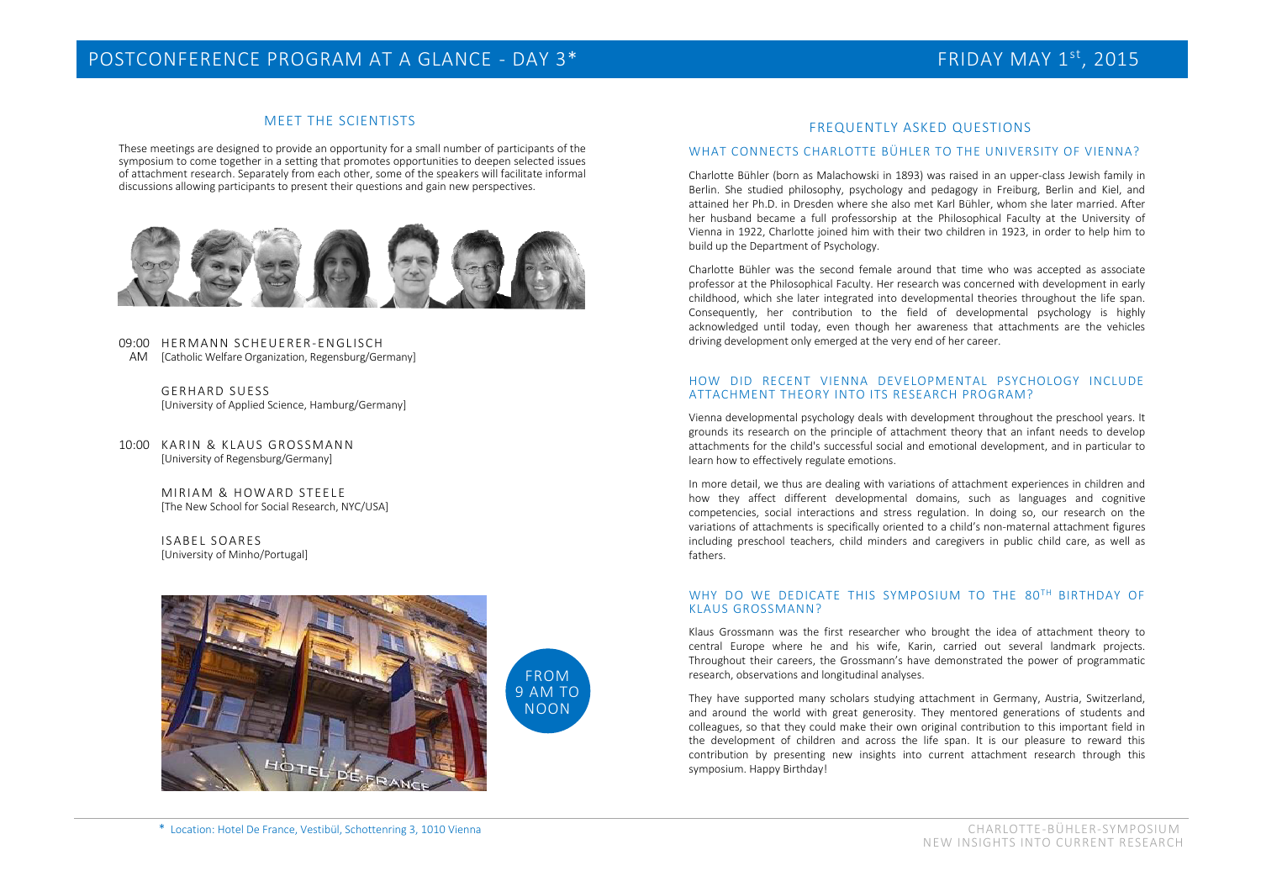#### MEET THE SCIENTISTS

These meetings are designed to provide an opportunity for a small number of participants of the symposium to come together in a setting that promotes opportunities to deepen selected issues of attachment research. Separately from each other, some of the speakers will facilitate informal discussions allowing participants to present their questions and gain new perspectives.



#### 09:00 HERMANN SCHEUERER-ENGLISCH AM [Catholic Welfare Organization, Regensburg/Germany]

 GERHARD SUESS [University of Applied Science, Hamburg/Germany]

10:00 KARIN & KLAUS GROSSMANN [University of Regensburg/Germany]

> MIRIAM & HOWARD STEELE [The New School for Social Research, NYC/USA]

ISABEL SOARES [University of Minho/Portugal]





#### FREQUENTLY ASKED QUESTIONS

#### WHAT CONNECTS CHARLOTTE BÜHLER TO THE UNIVERSITY OF VIENNA?

Charlotte Bühler (born as Malachowski in 1893) was raised in an upper-class Jewish family in Berlin. She studied philosophy, psychology and pedagogy in Freiburg, Berlin and Kiel, and attained her Ph.D. in Dresden where she also met Karl Bühler, whom she later married. After her husband became a full professorship at the Philosophical Faculty at the University of Vienna in 1922, Charlotte joined him with their two children in 1923, in order to help him to build up the Department of Psychology.

Charlotte Bühler was the second female around that time who was accepted as associate professor at the Philosophical Faculty. Her research was concerned with development in early childhood, which she later integrated into developmental theories throughout the life span. Consequently, her contribution to the field of developmental psychology is highly acknowledged until today, even though her awareness that attachments are the vehicles driving development only emerged at the very end of her career.

#### HOW DID RECENT VIENNA DEVELOPMENTAL PSYCHOLOGY INCLUDE ATTACHMENT THEORY INTO ITS RESEARCH PROGRAM?

Vienna developmental psychology deals with development throughout the preschool years. It grounds its research on the principle of attachment theory that an infant needs to develop attachments for the child's successful social and emotional development, and in particular to learn how to effectively regulate emotions.

In more detail, we thus are dealing with variations of attachment experiences in children and how they affect different developmental domains, such as languages and cognitive competencies, social interactions and stress regulation. In doing so, our research on the variations of attachments is specifically oriented to a child's non-maternal attachment figures including preschool teachers, child minders and caregivers in public child care, as well as fathers.

#### WHY DO WE DEDICATE THIS SYMPOSIUM TO THE 80TH BIRTHDAY OF KLAUS GROSSMANN?

Klaus Grossmann was the first researcher who brought the idea of attachment theory to central Europe where he and his wife, Karin, carried out several landmark projects. Throughout their careers, the Grossmann's have demonstrated the power of programmatic research, observations and longitudinal analyses.

They have supported many scholars studying attachment in Germany, Austria, Switzerland, and around the world with great generosity. They mentored generations of students and colleagues, so that they could make their own original contribution to this important field in the development of children and across the life span. It is our pleasure to reward this contribution by presenting new insights into current attachment research through this symposium. Happy Birthday!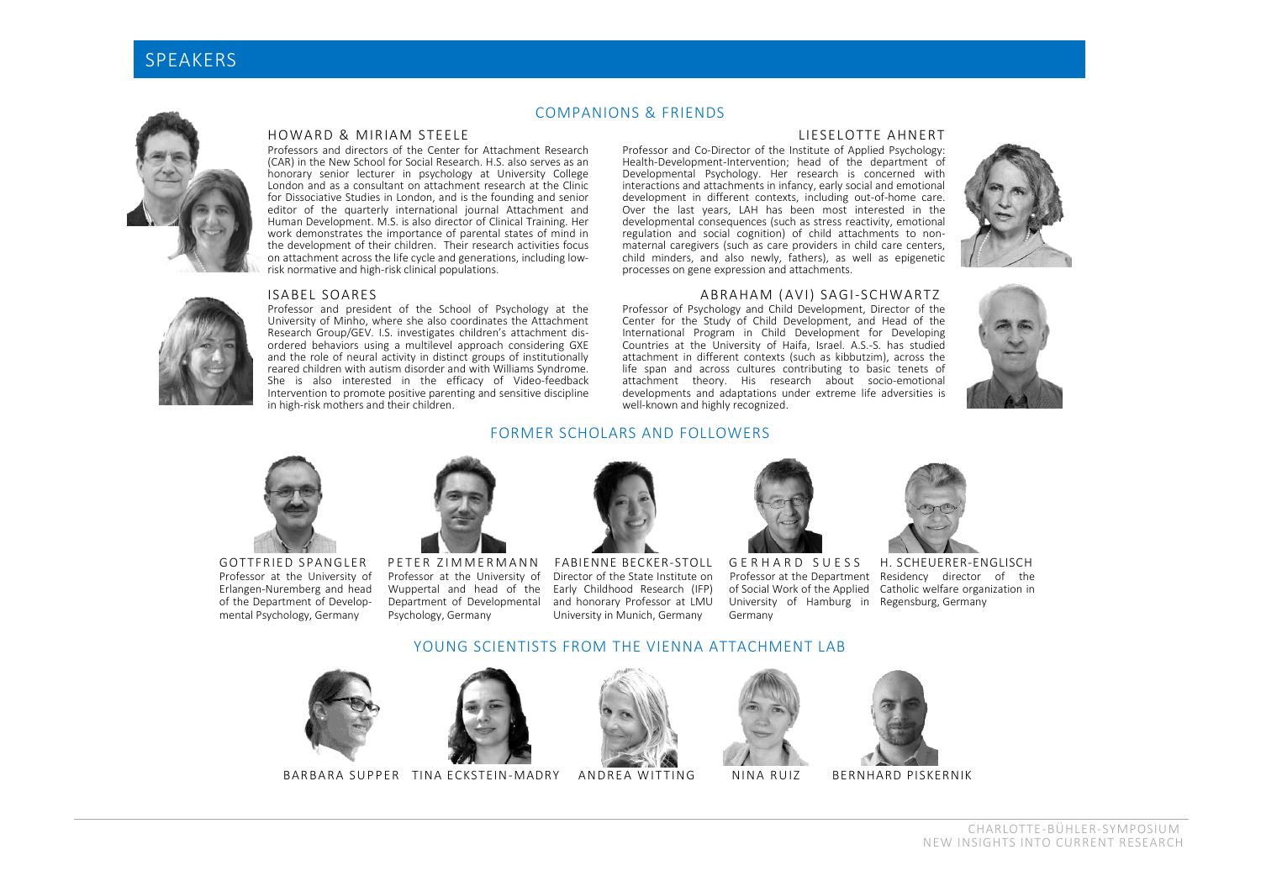

#### COMPANIONS & FRIENDS

#### HOWARD & MIRIAM STEELE

Professors and directors of the Center for Attachment Research (CAR) in the New School for Social Research. H.S. also serves as an honorary senior lecturer in psychology at University College London and as a consultant on attachment research at the Clinic for Dissociative Studies in London, and is the founding and senior editor of the quarterly international journal Attachment and Human Development. M.S. is also director of Clinical Training. Her work demonstrates the importance of parental states of mind in the development of their children. Their research activities focus on attachment across the life cycle and generations, including lowrisk normative and high-risk clinical populations.

#### ISABEL SOARES

Professor and president of the School of Psychology at the University of Minho, where she also coordinates the Attachment Research Group/GEV. L.S. investigates children's attachment disordered behaviors using a multilevel approach considering GXE and the role of neural activity in distinct groups of institutionally reared children with autism disorder and with Williams Syndrome. She is also interested in the efficacy of Video-feedback Intervention to promote positive parenting and sensitive discipline in high-risk mothers and their children.

#### LIESELOTTE AHNERT

Professor and Co-Director of the Institute of Applied Psychology: Health-Development-Intervention; head of the department of Developmental Psychology. Her research is concerned with interactions and attachments in infancy, early social and emotional development in different contexts, including out-of-home care. Over the last years, LAH has been most interested in the developmental consequences (such as stress reactivity, emotional regulation and social cognition) of child attachments to nonmaternal caregivers (such as care providers in child care centers, child minders, and also newly, fathers), as well as epigenetic processes on gene expression and attachments.



#### ABRAHAM ( AVI) SAGI-SCHWARTZ

Professor of Psychology and Child Development, Director of the Center for the Study of Child Development, and Head of the International Program in Child Development for Developing Countries at the University of Haifa, Israel. A.S.-S. has studied attachment in different contexts (such as kibbutzim), across the life span and across cultures contributing to basic tenets of attachment theory. His research about socio-emotional developments and adaptations under extreme life adversities is well-known and highly recognized.





GOTTFRIED SPANGLER Professor at the University of Erlangen-Nuremberg and head of the Department of Developmental Psychology, Germany



PETER ZIMMERMANN Professor at the University of Wuppertal and head of the Department of Developmental Psychology, Germany



FORMER SCHOLARS AND FOLLOWERS

FABIENNE BECKER-STOLL Director of the State Institute on Early Childhood Research (IFP) and honorary Professor at LMU University in Munich, Germany



G E R H A R D S U E S S University of Hamburg in Regensburg, Germany Germany



Professor at the Department Residency director of the of Social Work of the Applied Catholic welfare organization in H. SCHEUERER-ENGLISCH

#### YOUNG SCIENTISTS FROM THE VIENNA ATTACHMENT LAB





BARBARA SUPPER TINA ECKSTEIN-MADRY ANDREA WITTING NINA RUIZ







**BERNHARD PISKERNIK**